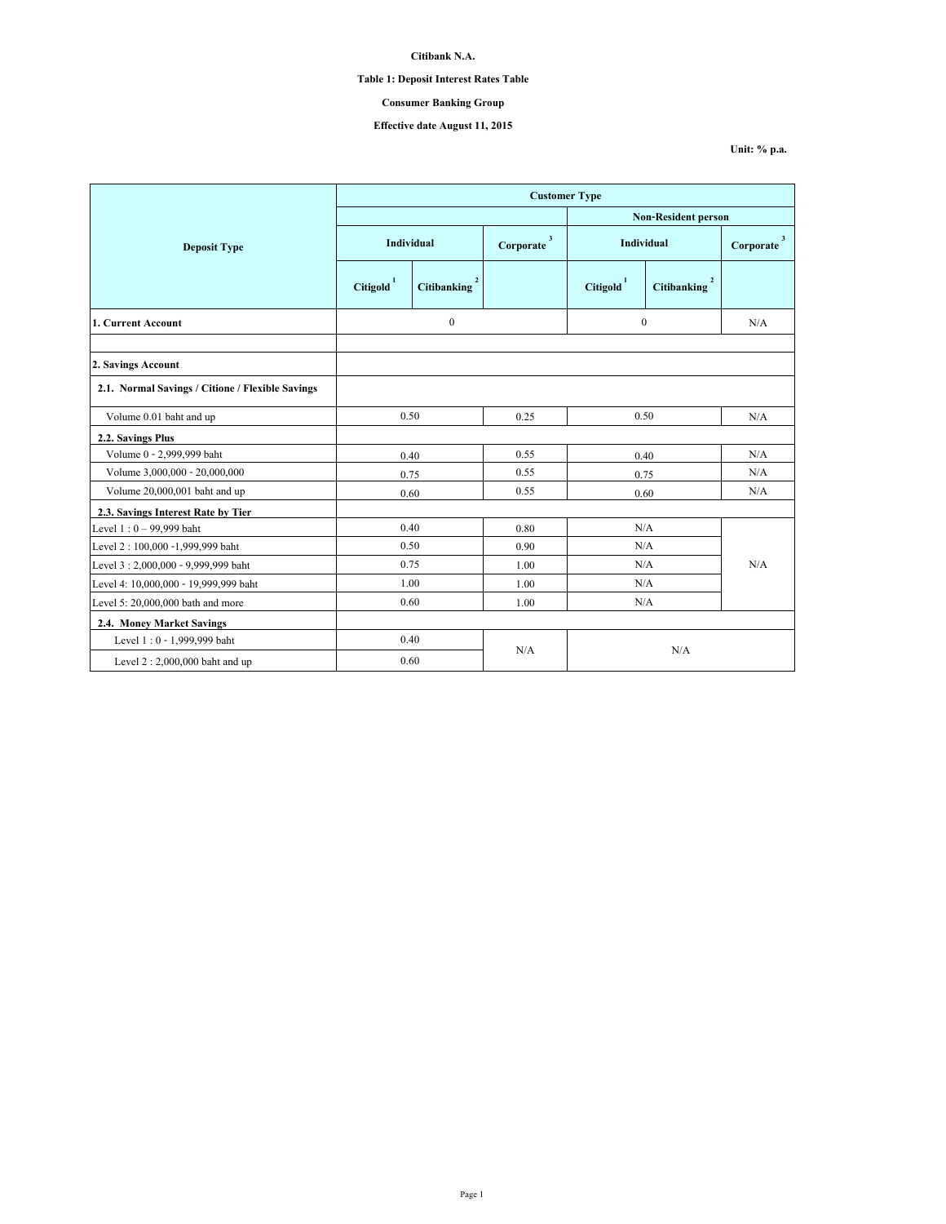# **Table 1: Deposit Interest Rates Table**

# **Consumer Banking Group**

# **Effective date August 11, 2015**

|                                                  | <b>Customer Type</b> |                          |                                      |                            |                          |                           |  |
|--------------------------------------------------|----------------------|--------------------------|--------------------------------------|----------------------------|--------------------------|---------------------------|--|
|                                                  |                      |                          |                                      | <b>Non-Resident person</b> |                          |                           |  |
| <b>Deposit Type</b>                              | Individual           |                          | $\overline{\mathbf{3}}$<br>Corporate | <b>Individual</b>          |                          | $\mathbf{3}$<br>Corporate |  |
|                                                  | $\text{Citigold}^1$  | Citibanking <sup>2</sup> |                                      | $\mbox{Citigold}^1$        | Citibanking <sup>2</sup> |                           |  |
| 1. Current Account                               | $\boldsymbol{0}$     |                          | $\theta$                             |                            | N/A                      |                           |  |
| 2. Savings Account                               |                      |                          |                                      |                            |                          |                           |  |
| 2.1. Normal Savings / Citione / Flexible Savings |                      |                          |                                      |                            |                          |                           |  |
| Volume 0.01 baht and up                          | 0.50                 |                          | 0.25                                 | 0.50                       |                          | N/A                       |  |
| 2.2. Savings Plus                                |                      |                          |                                      |                            |                          |                           |  |
| Volume 0 - 2,999,999 baht                        | 0.40                 |                          | 0.55                                 | 0.40                       |                          | N/A                       |  |
| Volume 3,000,000 - 20,000,000                    | 0.75                 |                          | 0.55                                 | 0.75                       |                          | N/A                       |  |
| Volume 20,000,001 baht and up                    | 0.60                 |                          | 0.55                                 | 0.60                       |                          | N/A                       |  |
| 2.3. Savings Interest Rate by Tier               |                      |                          |                                      |                            |                          |                           |  |
| Level $1:0 - 99,999$ baht                        | 0.40                 |                          | 0.80                                 | N/A                        |                          |                           |  |
| Level 2:100,000 -1,999,999 baht                  | 0.50                 |                          | 0.90                                 | N/A                        |                          |                           |  |
| Level 3:2,000,000 - 9,999,999 baht               | 0.75                 |                          | 1.00                                 | N/A                        |                          | N/A                       |  |
| Level 4: 10,000,000 - 19,999,999 baht            | 1.00                 |                          | 1.00                                 | N/A                        |                          |                           |  |
| Level 5: 20,000,000 bath and more                | 0.60                 |                          | 1.00                                 | N/A                        |                          |                           |  |
| 2.4. Money Market Savings                        |                      |                          |                                      |                            |                          |                           |  |
| Level 1:0 - 1,999,999 baht                       | 0.40                 |                          |                                      |                            |                          |                           |  |
| Level $2:2,000,000$ baht and up                  | 0.60                 |                          | N/A<br>N/A                           |                            |                          |                           |  |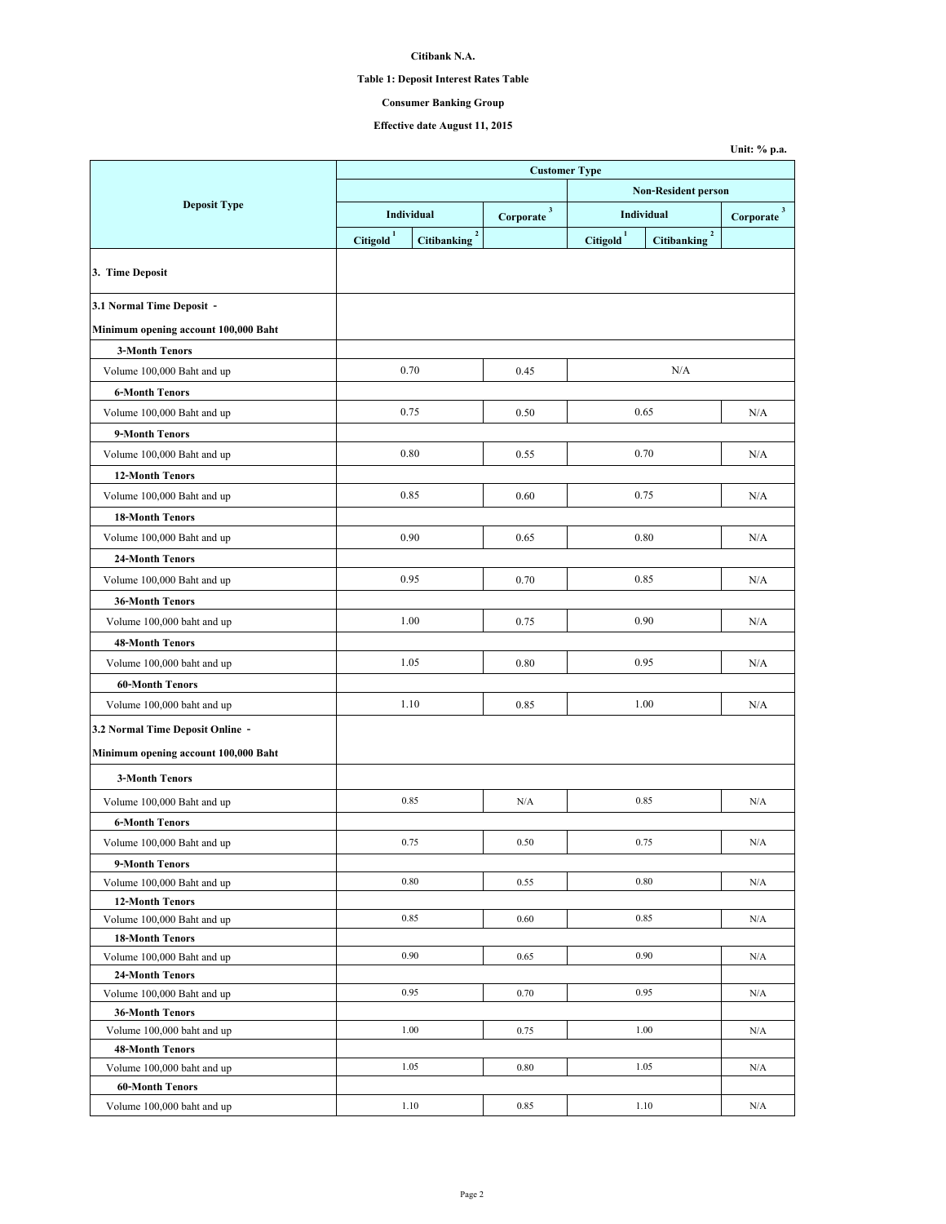# **Table 1: Deposit Interest Rates Table**

# **Consumer Banking Group**

**Unit: % p.a.**

# **Effective date August 11, 2015**

|                                                      | <b>Customer Type</b>       |                                   |                          |                     |                          |                        |  |
|------------------------------------------------------|----------------------------|-----------------------------------|--------------------------|---------------------|--------------------------|------------------------|--|
|                                                      | <b>Non-Resident person</b> |                                   |                          |                     |                          |                        |  |
| <b>Deposit Type</b>                                  |                            | Individual                        | $Corporate$ <sup>3</sup> | Individual          |                          | Corporate <sup>3</sup> |  |
|                                                      | $\mbox{Citigold}^1$        | $\mathbf 2$<br><b>Citibanking</b> |                          | $\text{Citigold}^1$ | Citibanking <sup>2</sup> |                        |  |
|                                                      |                            |                                   |                          |                     |                          |                        |  |
| 3. Time Deposit                                      |                            |                                   |                          |                     |                          |                        |  |
| 3.1 Normal Time Deposit -                            |                            |                                   |                          |                     |                          |                        |  |
| Minimum opening account 100,000 Baht                 |                            |                                   |                          |                     |                          |                        |  |
| <b>3-Month Tenors</b>                                |                            |                                   |                          |                     |                          |                        |  |
| Volume 100,000 Baht and up                           |                            | 0.70                              | 0.45                     |                     | N/A                      |                        |  |
| <b>6-Month Tenors</b>                                |                            |                                   |                          |                     |                          |                        |  |
| Volume 100,000 Baht and up                           |                            | 0.75                              | 0.50                     |                     | 0.65                     | N/A                    |  |
| 9-Month Tenors                                       |                            |                                   |                          |                     |                          |                        |  |
| Volume 100,000 Baht and up                           |                            | 0.80                              | 0.55                     |                     | 0.70                     | N/A                    |  |
| <b>12-Month Tenors</b>                               |                            |                                   |                          |                     |                          |                        |  |
| Volume 100,000 Baht and up                           |                            | 0.85                              | 0.60                     |                     | 0.75                     | N/A                    |  |
| <b>18-Month Tenors</b>                               |                            |                                   |                          |                     |                          |                        |  |
|                                                      |                            |                                   |                          |                     |                          |                        |  |
| Volume 100,000 Baht and up                           |                            | 0.90                              | 0.65                     |                     | 0.80                     | N/A                    |  |
| <b>24-Month Tenors</b>                               |                            |                                   |                          |                     |                          |                        |  |
| Volume 100,000 Baht and up                           |                            | 0.95                              | 0.70                     |                     | 0.85                     | N/A                    |  |
| <b>36-Month Tenors</b>                               |                            |                                   |                          |                     |                          |                        |  |
| Volume 100,000 baht and up                           |                            | 1.00                              | 0.75                     |                     | 0.90                     | N/A                    |  |
| <b>48-Month Tenors</b>                               |                            |                                   |                          |                     |                          |                        |  |
| Volume 100,000 baht and up                           |                            | 1.05                              | 0.80                     |                     | 0.95                     | N/A                    |  |
| <b>60-Month Tenors</b>                               |                            |                                   |                          |                     |                          |                        |  |
| Volume 100,000 baht and up                           |                            | 1.10                              | 0.85                     |                     | 1.00                     | N/A                    |  |
| 3.2 Normal Time Deposit Online -                     |                            |                                   |                          |                     |                          |                        |  |
| Minimum opening account 100,000 Baht                 |                            |                                   |                          |                     |                          |                        |  |
|                                                      |                            |                                   |                          |                     |                          |                        |  |
| <b>3-Month Tenors</b>                                |                            |                                   |                          |                     |                          |                        |  |
| Volume 100,000 Baht and up                           |                            | 0.85                              | N/A                      |                     | 0.85                     | N/A                    |  |
| <b>6-Month Tenors</b>                                |                            |                                   |                          |                     |                          |                        |  |
| Volume 100,000 Baht and up                           |                            | 0.75                              | 0.50                     |                     | 0.75                     | N/A                    |  |
| 9-Month Tenors                                       |                            |                                   |                          |                     |                          |                        |  |
| Volume 100,000 Baht and up                           |                            | 0.80                              | 0.55                     |                     | 0.80                     | N/A                    |  |
| <b>12-Month Tenors</b>                               |                            |                                   |                          |                     |                          |                        |  |
| Volume 100,000 Baht and up                           |                            | 0.85                              | 0.60                     |                     | 0.85                     | N/A                    |  |
| <b>18-Month Tenors</b>                               |                            |                                   |                          |                     |                          |                        |  |
| Volume 100,000 Baht and up                           |                            | 0.90                              | 0.65                     |                     | 0.90                     | N/A                    |  |
| 24-Month Tenors                                      |                            | 0.95                              | 0.70                     |                     | 0.95                     | N/A                    |  |
| Volume 100,000 Baht and up                           |                            |                                   |                          |                     |                          |                        |  |
| <b>36-Month Tenors</b><br>Volume 100,000 baht and up |                            | 1.00                              | 0.75                     |                     | 1.00                     | N/A                    |  |
| <b>48-Month Tenors</b>                               |                            |                                   |                          |                     |                          |                        |  |
| Volume 100,000 baht and up                           |                            | 1.05                              | 0.80                     |                     | 1.05                     | N/A                    |  |
| <b>60-Month Tenors</b>                               |                            |                                   |                          |                     |                          |                        |  |
| Volume 100,000 baht and up                           |                            | 1.10                              | 0.85                     |                     | 1.10                     | N/A                    |  |
|                                                      |                            |                                   |                          |                     |                          |                        |  |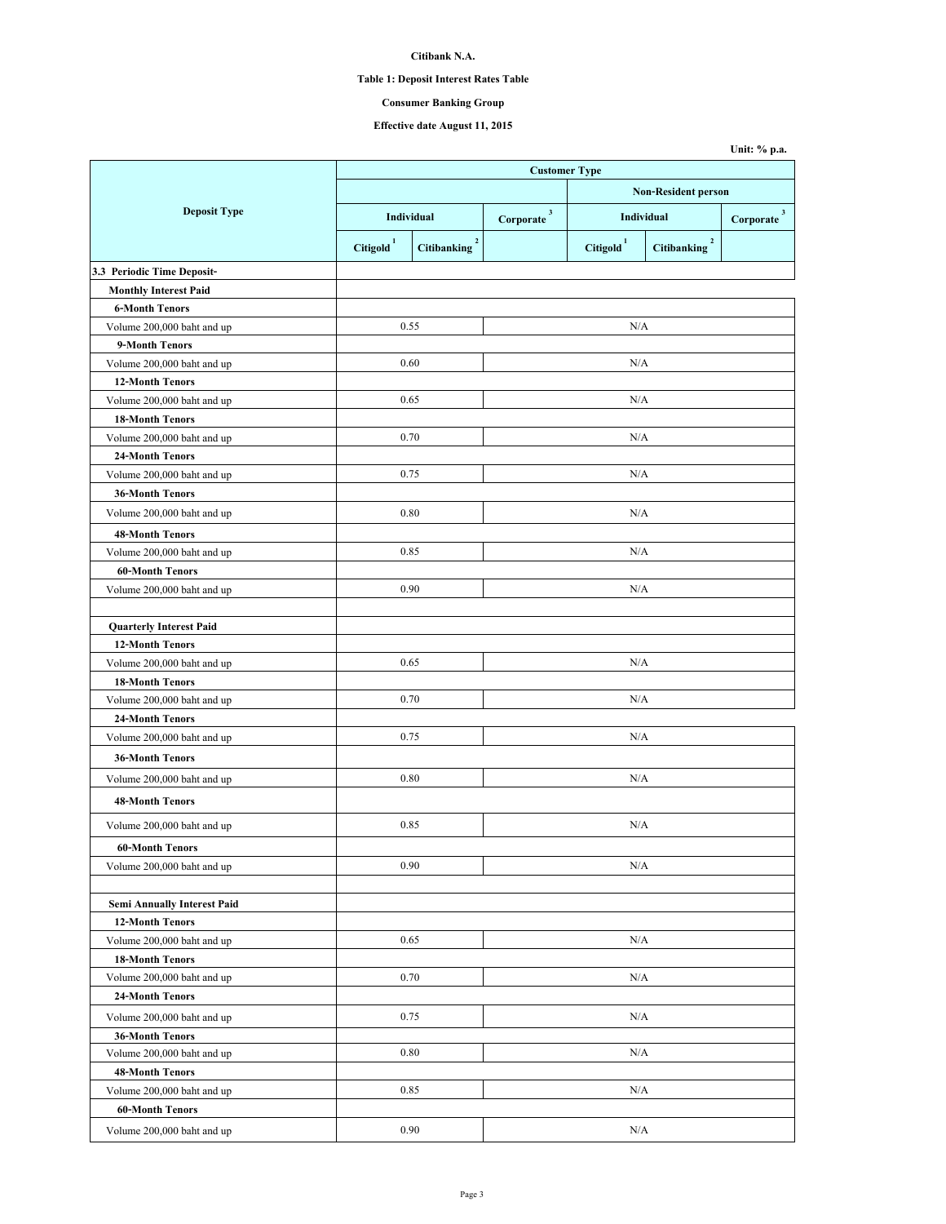# **Table 1: Deposit Interest Rates Table**

# **Consumer Banking Group**

**Unit: % p.a.**

**Effective date August 11, 2015**

|                                | <b>Customer Type</b>       |                            |                                                           |                       |                                  |                        |  |
|--------------------------------|----------------------------|----------------------------|-----------------------------------------------------------|-----------------------|----------------------------------|------------------------|--|
|                                | <b>Non-Resident person</b> |                            |                                                           |                       |                                  |                        |  |
| <b>Deposit Type</b>            | Individual                 |                            |                                                           | Individual            |                                  |                        |  |
|                                |                            |                            | $\label{eq:corporate} \textbf{Corporate} \xrightarrow{3}$ |                       |                                  | Corporate <sup>3</sup> |  |
|                                | Citigold <sup>1</sup>      | $\mathbf 2$<br>Citibanking |                                                           | Citigold <sup>1</sup> | $\sqrt{2}$<br><b>Citibanking</b> |                        |  |
| 3.3 Periodic Time Deposit-     |                            |                            |                                                           |                       |                                  |                        |  |
| <b>Monthly Interest Paid</b>   |                            |                            |                                                           |                       |                                  |                        |  |
| <b>6-Month Tenors</b>          |                            |                            |                                                           |                       |                                  |                        |  |
| Volume 200,000 baht and up     | 0.55                       |                            |                                                           | N/A                   |                                  |                        |  |
| 9-Month Tenors                 |                            |                            |                                                           |                       |                                  |                        |  |
| Volume 200,000 baht and up     | 0.60                       |                            |                                                           | N/A                   |                                  |                        |  |
| <b>12-Month Tenors</b>         |                            |                            |                                                           |                       |                                  |                        |  |
| Volume 200,000 baht and up     | 0.65                       |                            |                                                           | N/A                   |                                  |                        |  |
| <b>18-Month Tenors</b>         |                            |                            |                                                           |                       |                                  |                        |  |
| Volume 200,000 baht and up     | 0.70                       |                            |                                                           | N/A                   |                                  |                        |  |
| <b>24-Month Tenors</b>         |                            |                            |                                                           |                       |                                  |                        |  |
| Volume 200,000 baht and up     | 0.75                       |                            |                                                           | N/A                   |                                  |                        |  |
| <b>36-Month Tenors</b>         |                            |                            |                                                           |                       |                                  |                        |  |
| Volume 200,000 baht and up     | 0.80                       |                            |                                                           | N/A                   |                                  |                        |  |
| <b>48-Month Tenors</b>         |                            |                            |                                                           |                       |                                  |                        |  |
| Volume 200,000 baht and up     | 0.85                       |                            |                                                           | N/A                   |                                  |                        |  |
| <b>60-Month Tenors</b>         |                            |                            |                                                           |                       |                                  |                        |  |
| Volume 200,000 baht and up     |                            | 0.90                       |                                                           | N/A                   |                                  |                        |  |
|                                |                            |                            |                                                           |                       |                                  |                        |  |
| <b>Quarterly Interest Paid</b> |                            |                            |                                                           |                       |                                  |                        |  |
| <b>12-Month Tenors</b>         |                            |                            |                                                           |                       |                                  |                        |  |
| Volume 200,000 baht and up     | 0.65                       |                            |                                                           | N/A                   |                                  |                        |  |
| <b>18-Month Tenors</b>         |                            |                            |                                                           |                       |                                  |                        |  |
| Volume 200,000 baht and up     | 0.70                       |                            |                                                           | N/A                   |                                  |                        |  |
| 24-Month Tenors                |                            |                            |                                                           |                       |                                  |                        |  |
| Volume 200,000 baht and up     | 0.75                       |                            |                                                           | N/A                   |                                  |                        |  |
| <b>36-Month Tenors</b>         |                            |                            |                                                           |                       |                                  |                        |  |
| Volume 200,000 baht and up     | 0.80                       |                            |                                                           | N/A                   |                                  |                        |  |
| <b>48-Month Tenors</b>         |                            |                            |                                                           |                       |                                  |                        |  |
| Volume 200,000 baht and up     | 0.85                       |                            |                                                           | N/A                   |                                  |                        |  |
| <b>60-Month Tenors</b>         |                            |                            |                                                           |                       |                                  |                        |  |
| Volume 200,000 baht and up     |                            | 0.90                       |                                                           | N/A                   |                                  |                        |  |
|                                |                            |                            |                                                           |                       |                                  |                        |  |
| Semi Annually Interest Paid    |                            |                            |                                                           |                       |                                  |                        |  |
| <b>12-Month Tenors</b>         |                            |                            |                                                           |                       |                                  |                        |  |
| Volume 200,000 baht and up     |                            | 0.65                       |                                                           | N/A                   |                                  |                        |  |
| <b>18-Month Tenors</b>         |                            |                            |                                                           |                       |                                  |                        |  |
| Volume 200,000 baht and up     |                            | 0.70                       |                                                           | N/A                   |                                  |                        |  |
| <b>24-Month Tenors</b>         |                            |                            |                                                           |                       |                                  |                        |  |
| Volume 200,000 baht and up     |                            | 0.75                       |                                                           | N/A                   |                                  |                        |  |
| 36-Month Tenors                |                            |                            |                                                           |                       |                                  |                        |  |
| Volume 200,000 baht and up     |                            | 0.80                       |                                                           | N/A                   |                                  |                        |  |
| <b>48-Month Tenors</b>         |                            |                            |                                                           |                       |                                  |                        |  |
| Volume 200,000 baht and up     |                            | 0.85                       |                                                           | N/A                   |                                  |                        |  |
| <b>60-Month Tenors</b>         |                            |                            |                                                           |                       |                                  |                        |  |
| Volume 200,000 baht and up     |                            | 0.90                       |                                                           | N/A                   |                                  |                        |  |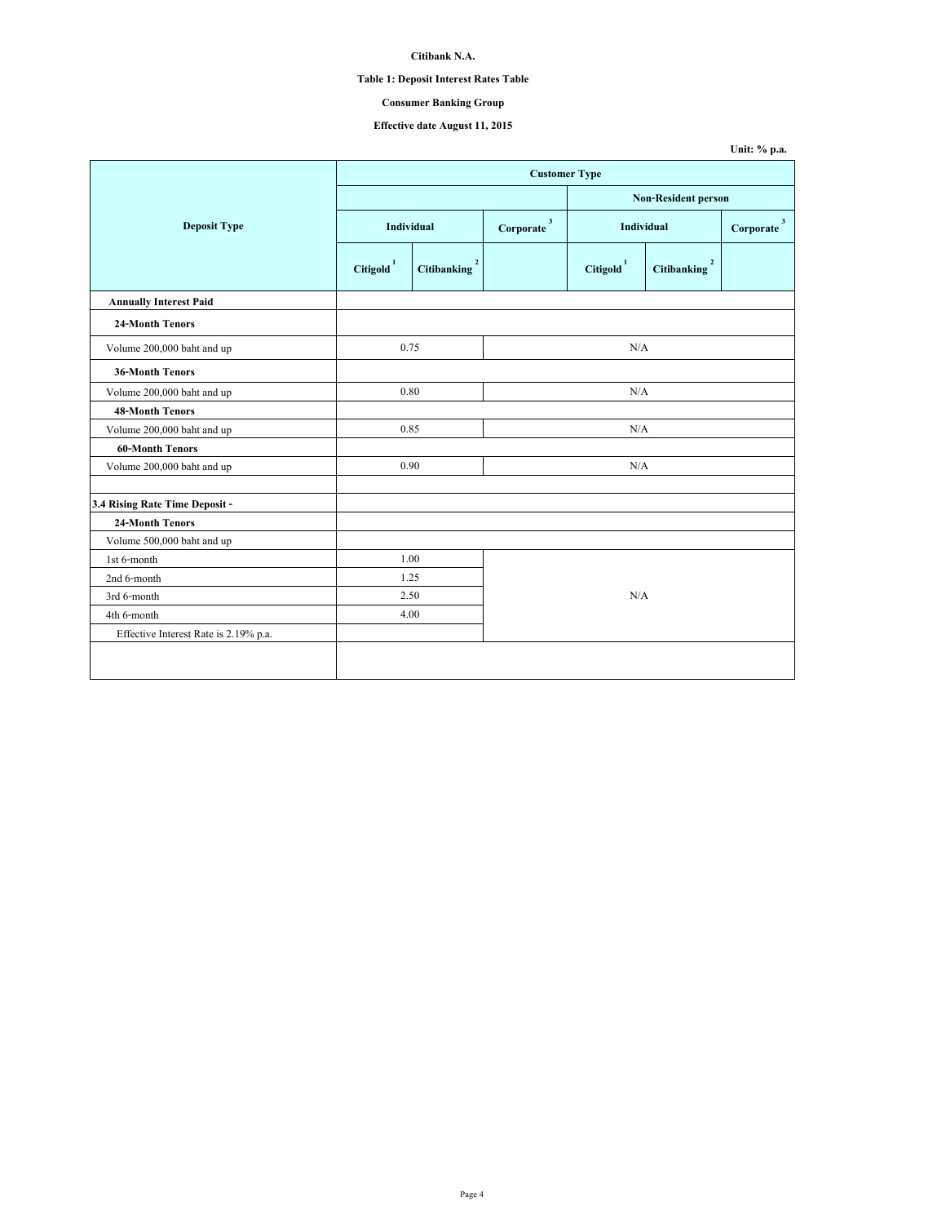# **Table 1: Deposit Interest Rates Table**

# **Consumer Banking Group**

# **Effective date August 11, 2015**

|                                       |                       |                          |                                    |                            |                                        | Unit: % p.a.                         |  |
|---------------------------------------|-----------------------|--------------------------|------------------------------------|----------------------------|----------------------------------------|--------------------------------------|--|
|                                       | <b>Customer Type</b>  |                          |                                    |                            |                                        |                                      |  |
|                                       |                       |                          |                                    | <b>Non-Resident person</b> |                                        |                                      |  |
| <b>Deposit Type</b>                   | Individual            |                          | $\textbf{Corporate} \, \text{ }^3$ | Individual                 |                                        | $\overline{\mathbf{3}}$<br>Corporate |  |
|                                       | Citigold <sup>1</sup> | Citibanking <sup>2</sup> |                                    | Citigold <sup>1</sup>      | $\overline{\mathbf{c}}$<br>Citibanking |                                      |  |
| <b>Annually Interest Paid</b>         |                       |                          |                                    |                            |                                        |                                      |  |
| 24-Month Tenors                       |                       |                          |                                    |                            |                                        |                                      |  |
| Volume 200,000 baht and up            | 0.75                  |                          |                                    | N/A                        |                                        |                                      |  |
| <b>36-Month Tenors</b>                |                       |                          |                                    |                            |                                        |                                      |  |
| Volume 200,000 baht and up            | 0.80                  |                          |                                    | N/A                        |                                        |                                      |  |
| <b>48-Month Tenors</b>                |                       |                          |                                    |                            |                                        |                                      |  |
| Volume 200,000 baht and up            | 0.85                  |                          |                                    | N/A                        |                                        |                                      |  |
| <b>60-Month Tenors</b>                |                       |                          |                                    |                            |                                        |                                      |  |
| Volume 200,000 baht and up            | 0.90                  |                          |                                    | N/A                        |                                        |                                      |  |
| 3.4 Rising Rate Time Deposit -        |                       |                          |                                    |                            |                                        |                                      |  |
| <b>24-Month Tenors</b>                |                       |                          |                                    |                            |                                        |                                      |  |
| Volume 500,000 baht and up            |                       |                          |                                    |                            |                                        |                                      |  |
| 1st 6-month                           | 1.00                  |                          |                                    |                            |                                        |                                      |  |
| 2nd 6-month                           | 1.25                  |                          |                                    |                            |                                        |                                      |  |
| 3rd 6-month                           | 2.50                  |                          |                                    | N/A                        |                                        |                                      |  |
| 4th 6-month                           | 4.00                  |                          |                                    |                            |                                        |                                      |  |
| Effective Interest Rate is 2.19% p.a. |                       |                          |                                    |                            |                                        |                                      |  |
|                                       |                       |                          |                                    |                            |                                        |                                      |  |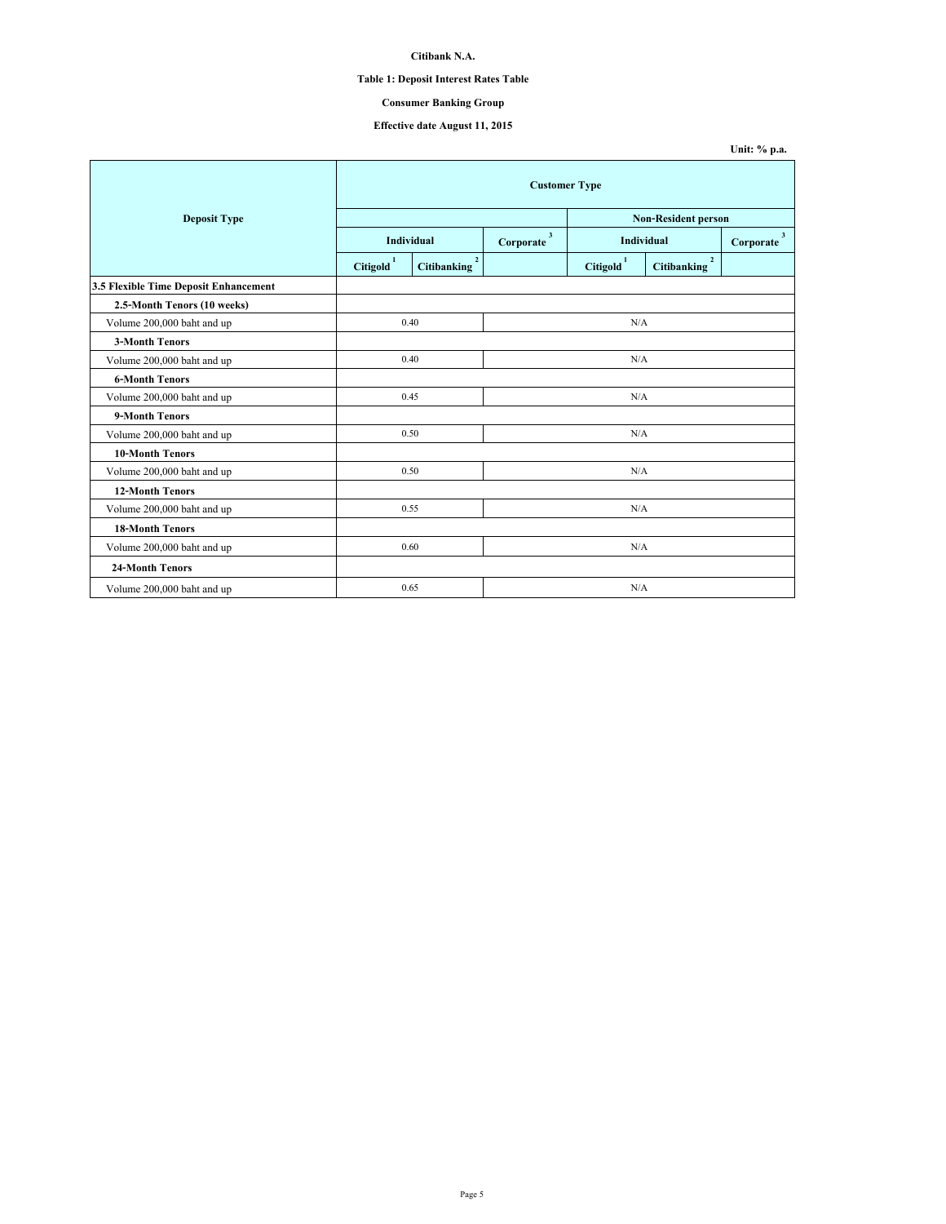#### **Table 1: Deposit Interest Rates Table**

### **Consumer Banking Group**

#### **Effective date August 11, 2015**

**Unit: % p.a. Corporate 3 Corporate 3 Citigold 1 Citibanking 2 Citigold 1 Citibanking 2 3.5 Flexible Time Deposit Enhancement 2.5-Month Tenors (10 weeks)** Volume 200,000 baht and up  **3-Month Tenors** Volume 200,000 baht and up  **6-Month Tenors** Volume 200,000 baht and up  **9-Month Tenors** Volume 200,000 baht and up  **10-Month Tenors** Volume 200,000 baht and up  **12-Month Tenors** Volume 200,000 baht and up  **18-Month Tenors** Volume 200,000 baht and up  **24-Month Tenors** Volume  $200,000$  baht and up  $0.65$  N/A 0.40 N/A 0.45  $\rm N/A$ 0.50 N/A 0.55 0.60  $\rm N/A$ 0.50 0.40 N/A N/A N/A **Deposit Type Individual Customer Type Non-Resident person Individual**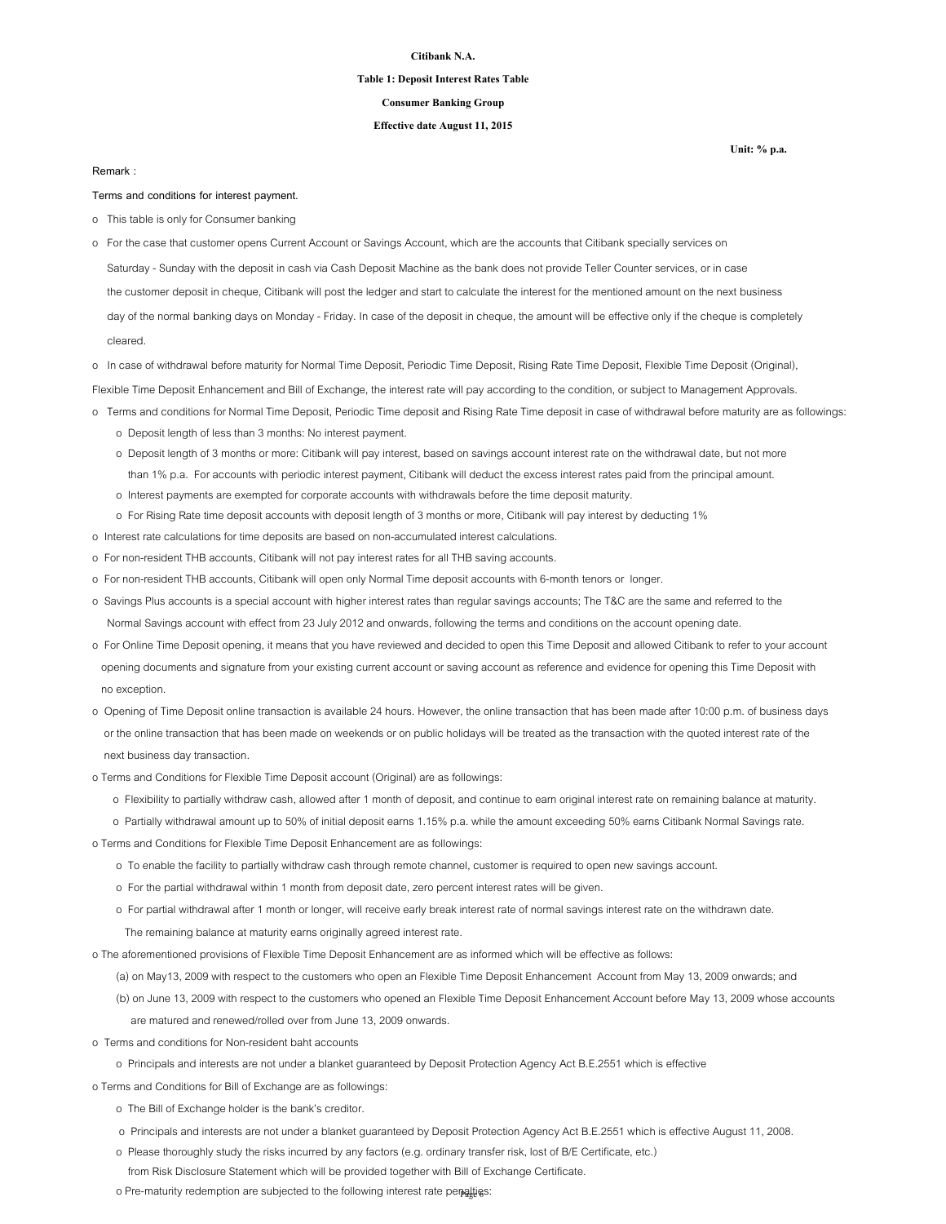#### **Table 1: Deposit Interest Rates Table**

### **Consumer Banking Group**

### **Effective date August 11, 2015**

#### **Remark :**

**Terms and conditions for interest payment.**

- o This table is only for Consumer banking
- Saturday Sunday with the deposit in cash via Cash Deposit Machine as the bank does not provide Teller Counter services, or in case the customer deposit in cheque, Citibank will post the ledger and start to calculate the interest for the mentioned amount on the next business day of the normal banking days on Monday - Friday. In case of the deposit in cheque, the amount will be effective only if the cheque is completely cleared. o For the case that customer opens Current Account or Savings Account, which are the accounts that Citibank specially services on
- o In case of withdrawal before maturity for Normal Time Deposit, Periodic Time Deposit, Rising Rate Time Deposit, Flexible Time Deposit (Original),

Flexible Time Deposit Enhancement and Bill of Exchange, the interest rate will pay according to the condition, or subject to Management Approvals.

- o Terms and conditions for Normal Time Deposit, Periodic Time deposit and Rising Rate Time deposit in case of withdrawal before maturity are as followings:
	- o Deposit length of less than 3 months: No interest payment.
	- o Deposit length of 3 months or more: Citibank will pay interest, based on savings account interest rate on the withdrawal date, but not more than 1% p.a. For accounts with periodic interest payment, Citibank will deduct the excess interest rates paid from the principal amount.
	- o Interest payments are exempted for corporate accounts with withdrawals before the time deposit maturity.
	- o For Rising Rate time deposit accounts with deposit length of 3 months or more, Citibank will pay interest by deducting 1%
- o Interest rate calculations for time deposits are based on non-accumulated interest calculations.
- o For non-resident THB accounts, Citibank will not pay interest rates for all THB saving accounts.
- o For non-resident THB accounts, Citibank will open only Normal Time deposit accounts with 6-month tenors or longer.
- o Savings Plus accounts is a special account with higher interest rates than regular savings accounts; The T&C are the same and referred to the Normal Savings account with effect from 23 July 2012 and onwards, following the terms and conditions on the account opening date.
- o For Online Time Deposit opening, it means that you have reviewed and decided to open this Time Deposit and allowed Citibank to refer to your account opening documents and signature from your existing current account or saving account as reference and evidence for opening this Time Deposit with no exception.
- o Opening of Time Deposit online transaction is available 24 hours. However, the online transaction that has been made after 10:00 p.m. of business days or the online transaction that has been made on weekends or on public holidays will be treated as the transaction with the quoted interest rate of the next business day transaction.
- o Terms and Conditions for Flexible Time Deposit account (Original) are as followings:
	- o Flexibility to partially withdraw cash, allowed after 1 month of deposit, and continue to earn original interest rate on remaining balance at maturity.
- o Partially withdrawal amount up to 50% of initial deposit earns 1.15% p.a. while the amount exceeding 50% earns Citibank Normal Savings rate.

o Terms and Conditions for Flexible Time Deposit Enhancement are as followings:

- o To enable the facility to partially withdraw cash through remote channel, customer is required to open new savings account.
- o For the partial withdrawal within 1 month from deposit date, zero percent interest rates will be given.
- o For partial withdrawal after 1 month or longer, will receive early break interest rate of normal savings interest rate on the withdrawn date.
	- The remaining balance at maturity earns originally agreed interest rate.

o The aforementioned provisions of Flexible Time Deposit Enhancement are as informed which will be effective as follows:

(a) on May13, 2009 with respect to the customers who open an Flexible Time Deposit Enhancement Account from May 13, 2009 onwards; and

- (b) on June 13, 2009 with respect to the customers who opened an Flexible Time Deposit Enhancement Account before May 13, 2009 whose accounts are matured and renewed/rolled over from June 13, 2009 onwards.
- o Terms and conditions for Non-resident baht accounts
	- o Principals and interests are not under a blanket guaranteed by Deposit Protection Agency Act B.E.2551 which is effective

o Terms and Conditions for Bill of Exchange are as followings:

- o The Bill of Exchange holder is the bank's creditor.
- o Principals and interests are not under a blanket guaranteed by Deposit Protection Agency Act B.E.2551 which is effective August 11, 2008.
- o Please thoroughly study the risks incurred by any factors (e.g. ordinary transfer risk, lost of B/E Certificate, etc.)
	- from Risk Disclosure Statement which will be provided together with Bill of Exchange Certificate.
- o Pre-maturity redemption are subjected to the following interest rate penalties: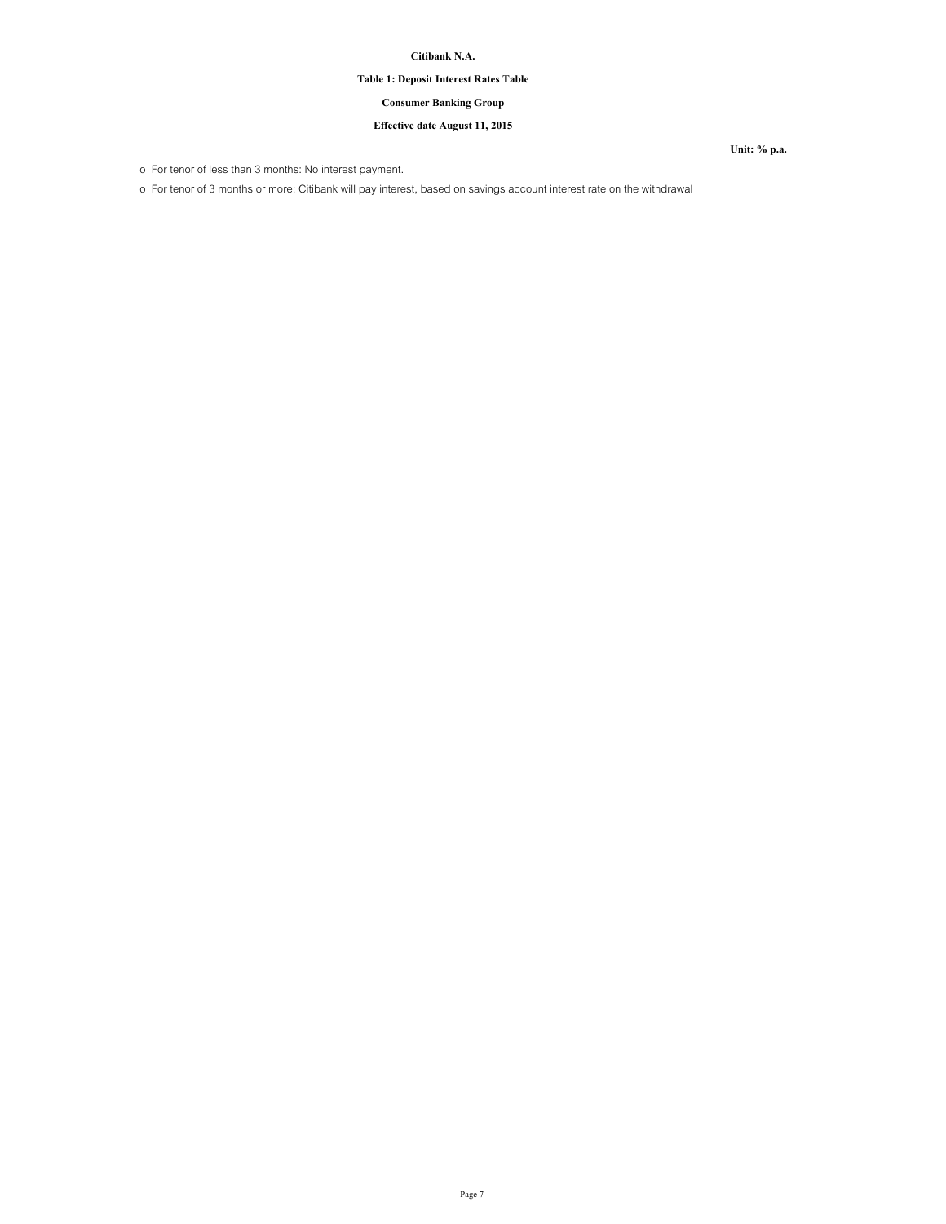# **Table 1: Deposit Interest Rates Table**

# **Consumer Banking Group**

# **Effective date August 11, 2015**

o For tenor of less than 3 months: No interest payment.

o For tenor of 3 months or more: Citibank will pay interest, based on savings account interest rate on the withdrawal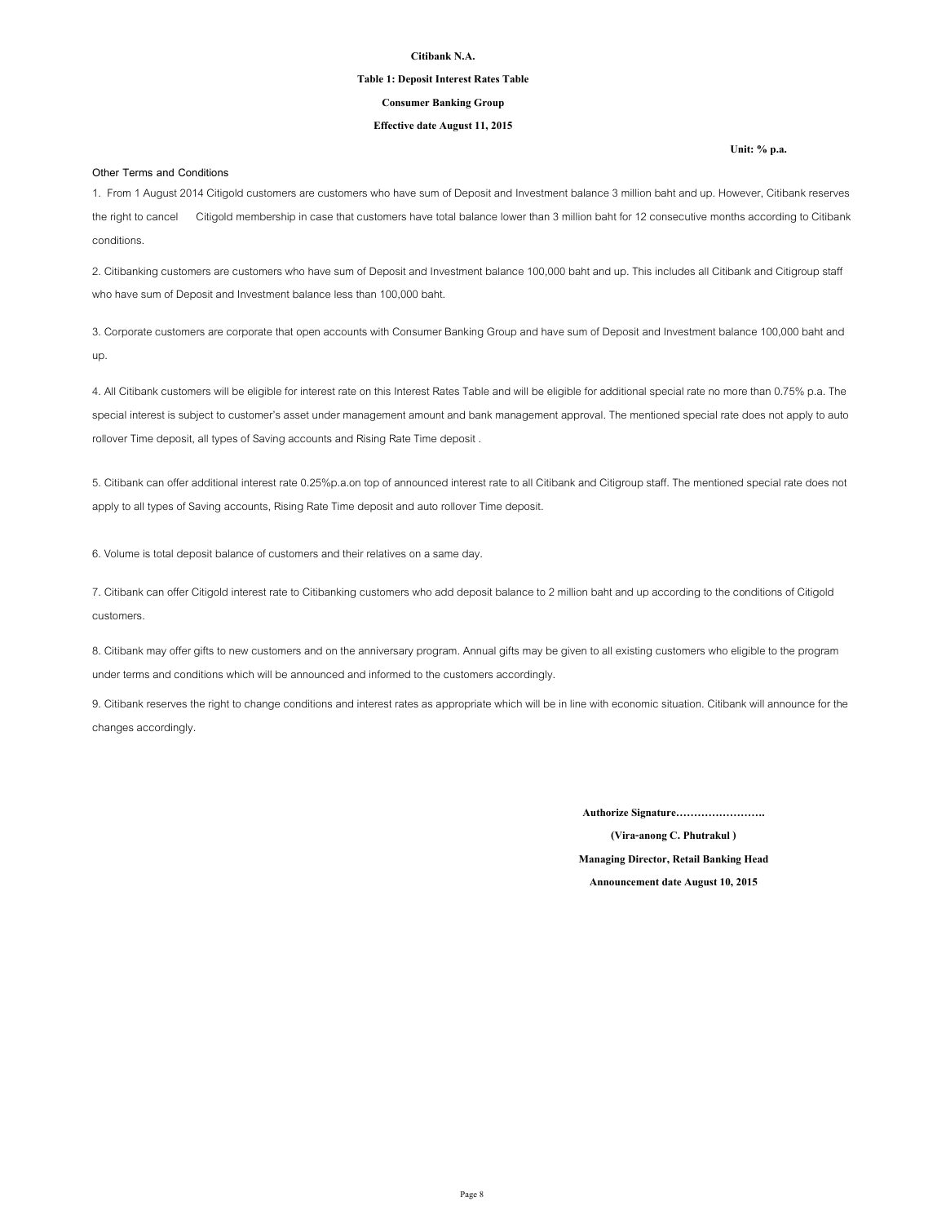#### **Table 1: Deposit Interest Rates Table**

#### **Consumer Banking Group**

### **Effective date August 11, 2015**

**Other Terms and Conditions**

1. From 1 August 2014 Citigold customers are customers who have sum of Deposit and Investment balance 3 million baht and up. However, Citibank reserves the right to cancel Citigold membership in case that customers have total balance lower than 3 million baht for 12 consecutive months according to Citibank conditions.

2. Citibanking customers are customers who have sum of Deposit and Investment balance 100,000 baht and up. This includes all Citibank and Citigroup staff who have sum of Deposit and Investment balance less than 100,000 baht.

3. Corporate customers are corporate that open accounts with Consumer Banking Group and have sum of Deposit and Investment balance 100,000 baht and up.

4. All Citibank customers will be eligible for interest rate on this Interest Rates Table and will be eligible for additional special rate no more than 0.75% p.a. The special interest is subject to customer's asset under management amount and bank management approval. The mentioned special rate does not apply to auto rollover Time deposit, all types of Saving accounts and Rising Rate Time deposit .

5. Citibank can offer additional interest rate 0.25%p.a.on top of announced interest rate to all Citibank and Citigroup staff. The mentioned special rate does not apply to all types of Saving accounts, Rising Rate Time deposit and auto rollover Time deposit.

6. Volume is total deposit balance of customers and their relatives on a same day.

7. Citibank can offer Citigold interest rate to Citibanking customers who add deposit balance to 2 million baht and up according to the conditions of Citigold customers.

8. Citibank may offer gifts to new customers and on the anniversary program. Annual gifts may be given to all existing customers who eligible to the program under terms and conditions which will be announced and informed to the customers accordingly.

9. Citibank reserves the right to change conditions and interest rates as appropriate which will be in line with economic situation. Citibank will announce for the changes accordingly.

**Authorize Signature…………………….**

**Announcement date August 10, 2015 (Vira-anong C. Phutrakul ) Managing Director, Retail Banking Head**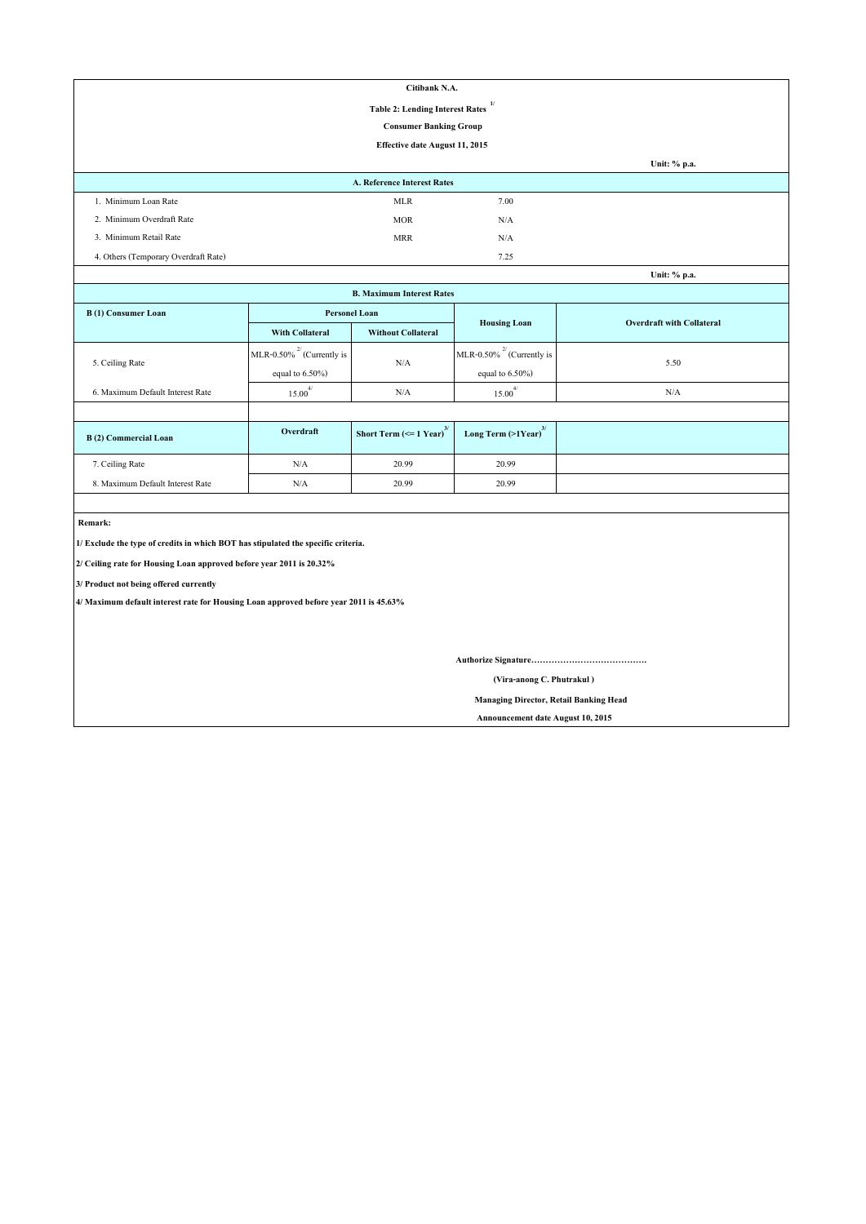| Citibank N.A.                          |                             |      |                                                   |  |  |
|----------------------------------------|-----------------------------|------|---------------------------------------------------|--|--|
| <b>Table 2: Lending Interest Rates</b> |                             |      |                                                   |  |  |
| <b>Consumer Banking Group</b>          |                             |      |                                                   |  |  |
| Effective date August 11, 2015         |                             |      |                                                   |  |  |
|                                        |                             |      | Unit: % p.a.                                      |  |  |
|                                        | A. Reference Interest Rates |      |                                                   |  |  |
| 1. Minimum Loan Rate                   | <b>MLR</b>                  | 7.00 |                                                   |  |  |
| 2. Minimum Overdraft Rate              | <b>MOR</b>                  | N/A  |                                                   |  |  |
| 3. Minimum Retail Rate                 | <b>MRR</b>                  | N/A  |                                                   |  |  |
| 4. Others (Temporary Overdraft Rate)   |                             | 7.25 |                                                   |  |  |
|                                        |                             |      | $I\left[\text{nit-}\frac{0}{n}\text{ n a}\right]$ |  |  |

| Unit: % p.a.                     |                                 |                                               |                                     |                                  |  |  |  |
|----------------------------------|---------------------------------|-----------------------------------------------|-------------------------------------|----------------------------------|--|--|--|
| <b>B. Maximum Interest Rates</b> |                                 |                                               |                                     |                                  |  |  |  |
| <b>B</b> (1) Consumer Loan       | <b>Personel Loan</b>            |                                               |                                     | <b>Overdraft with Collateral</b> |  |  |  |
|                                  | <b>With Collateral</b>          | <b>Without Collateral</b>                     | <b>Housing Loan</b>                 |                                  |  |  |  |
|                                  | MLR-0.50% $^{27}$ (Currently is |                                               | MLR-0.50% $^{27}$ (Currently is     |                                  |  |  |  |
| 5. Ceiling Rate                  | equal to $6.50\%$ )             | N/A                                           | equal to $6.50\%$ )                 | 5.50                             |  |  |  |
| 6. Maximum Default Interest Rate | $15.00^{4/}$                    | N/A                                           | $15.00^{4/}$                        | N/A                              |  |  |  |
|                                  |                                 |                                               |                                     |                                  |  |  |  |
| B(2) Commercial Loan             | Overdraft                       | Short Term $\left(\leq 1$ Year) <sup>3/</sup> | Long Term $(>1$ Year) <sup>3/</sup> |                                  |  |  |  |
| 7. Ceiling Rate                  | N/A                             | 20.99                                         | 20.99                               |                                  |  |  |  |
| 8. Maximum Default Interest Rate | N/A                             | 20.99                                         | 20.99                               |                                  |  |  |  |

 **Remark:**

**1/ Exclude the type of credits in which BOT has stipulated the specific criteria.**

**2/ Ceiling rate for Housing Loan approved before year 2011 is 20.32%**

**3/ Product not being offered currently**

**4/ Maximum default interest rate for Housing Loan approved before year 2011 is 45.63%**

**Authorize Signature………………………………….**

 **(Vira-anong C. Phutrakul )**

 **Managing Director, Retail Banking Head**

 **Announcement date August 10, 2015**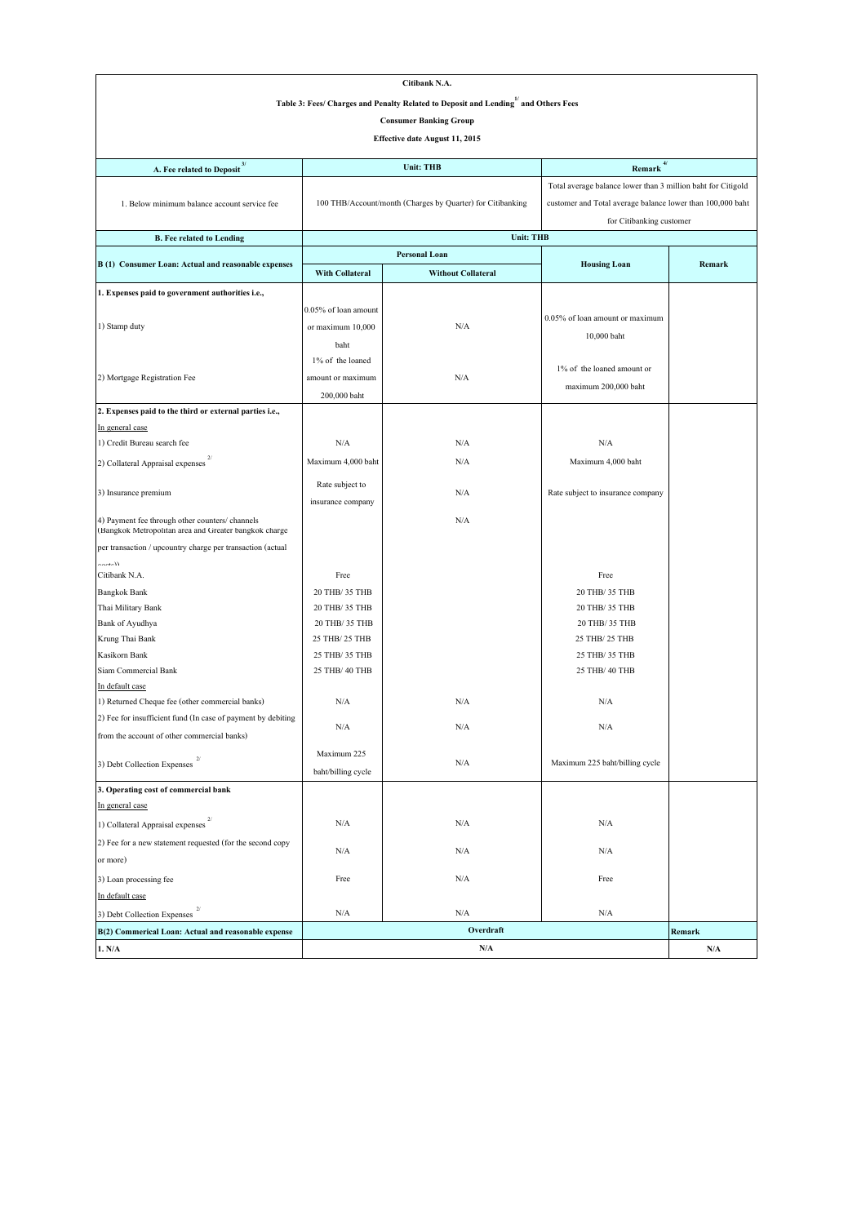| Citibank N.A.                                                                                                                         |                                  |                                                            |                                                              |        |  |  |  |  |
|---------------------------------------------------------------------------------------------------------------------------------------|----------------------------------|------------------------------------------------------------|--------------------------------------------------------------|--------|--|--|--|--|
| Table 3: Fees/ Charges and Penalty Related to Deposit and Lending $\stackrel{1}{\hspace*{1.5ex}^{\hspace*{1.5ex} 1}}$ and Others Fees |                                  |                                                            |                                                              |        |  |  |  |  |
|                                                                                                                                       |                                  | <b>Consumer Banking Group</b>                              |                                                              |        |  |  |  |  |
| Effective date August 11, 2015                                                                                                        |                                  |                                                            |                                                              |        |  |  |  |  |
|                                                                                                                                       |                                  |                                                            |                                                              |        |  |  |  |  |
| A. Fee related to Deposit <sup>3/</sup>                                                                                               |                                  | 4/<br><b>Unit: THB</b><br>Remark                           |                                                              |        |  |  |  |  |
|                                                                                                                                       |                                  |                                                            | Total average balance lower than 3 million baht for Citigold |        |  |  |  |  |
| 1. Below minimum balance account service fee                                                                                          |                                  | 100 THB/Account/month (Charges by Quarter) for Citibanking | customer and Total average balance lower than 100,000 baht   |        |  |  |  |  |
|                                                                                                                                       |                                  |                                                            | for Citibanking customer                                     |        |  |  |  |  |
| <b>B.</b> Fee related to Lending                                                                                                      |                                  | <b>Unit: THB</b>                                           |                                                              |        |  |  |  |  |
|                                                                                                                                       |                                  | <b>Personal Loan</b>                                       |                                                              |        |  |  |  |  |
| B(1) Consumer Loan: Actual and reasonable expenses                                                                                    | With Collateral                  | <b>Without Collateral</b>                                  | <b>Housing Loan</b>                                          | Remark |  |  |  |  |
| 1. Expenses paid to government authorities i.e.,                                                                                      |                                  |                                                            |                                                              |        |  |  |  |  |
|                                                                                                                                       | 0.05% of loan amount             |                                                            |                                                              |        |  |  |  |  |
| 1) Stamp duty                                                                                                                         | or maximum 10,000                | N/A                                                        | 0.05% of loan amount or maximum                              |        |  |  |  |  |
|                                                                                                                                       | baht                             |                                                            | 10,000 baht                                                  |        |  |  |  |  |
|                                                                                                                                       | 1% of the loaned                 |                                                            |                                                              |        |  |  |  |  |
| 2) Mortgage Registration Fee                                                                                                          | amount or maximum                | N/A                                                        | 1% of the loaned amount or                                   |        |  |  |  |  |
|                                                                                                                                       | 200,000 baht                     |                                                            | maximum 200,000 baht                                         |        |  |  |  |  |
| 2. Expenses paid to the third or external parties i.e.,                                                                               |                                  |                                                            |                                                              |        |  |  |  |  |
| In general case                                                                                                                       |                                  |                                                            |                                                              |        |  |  |  |  |
| 1) Credit Bureau search fee                                                                                                           | N/A                              | N/A                                                        | N/A                                                          |        |  |  |  |  |
| 2) Collateral Appraisal expenses                                                                                                      | Maximum 4,000 baht               | N/A                                                        | Maximum 4,000 baht                                           |        |  |  |  |  |
|                                                                                                                                       |                                  |                                                            |                                                              |        |  |  |  |  |
| 3) Insurance premium                                                                                                                  | Rate subject to                  | N/A                                                        | Rate subject to insurance company                            |        |  |  |  |  |
|                                                                                                                                       | insurance company                |                                                            |                                                              |        |  |  |  |  |
| 4) Payment fee through other counters/ channels<br>(Bangkok Metropolitan area and Greater bangkok charge                              |                                  | N/A                                                        |                                                              |        |  |  |  |  |
| per transaction / upcountry charge per transaction (actual                                                                            |                                  |                                                            |                                                              |        |  |  |  |  |
| المغممة                                                                                                                               |                                  |                                                            |                                                              |        |  |  |  |  |
| Citibank N.A.                                                                                                                         | Free                             |                                                            | Free                                                         |        |  |  |  |  |
| <b>Bangkok Bank</b>                                                                                                                   | 20 THB/ 35 THB                   |                                                            | 20 THB/ 35 THB                                               |        |  |  |  |  |
| Thai Military Bank                                                                                                                    | 20 THB/ 35 THB                   |                                                            | 20 THB/ 35 THB                                               |        |  |  |  |  |
| Bank of Ayudhya                                                                                                                       | 20 THB/ 35 THB<br>25 THB/ 25 THB |                                                            | 20 THB/ 35 THB                                               |        |  |  |  |  |
| Krung Thai Bank<br>Kasikorn Bank                                                                                                      | 25 THB/ 35 THB                   |                                                            | 25 THB/ 25 THB<br>25 THB/ 35 THB                             |        |  |  |  |  |
| Siam Commercial Bank                                                                                                                  | 25 THB/ 40 THB                   |                                                            | 25 THB/ 40 THB                                               |        |  |  |  |  |
| In default case                                                                                                                       |                                  |                                                            |                                                              |        |  |  |  |  |
| 1) Returned Cheque fee (other commercial banks)                                                                                       | N/A                              | N/A                                                        | N/A                                                          |        |  |  |  |  |
| 2) Fee for insufficient fund (In case of payment by debiting                                                                          |                                  |                                                            |                                                              |        |  |  |  |  |
| from the account of other commercial banks)                                                                                           | $\rm N/A$                        | $\rm N/A$                                                  | $\rm N/A$                                                    |        |  |  |  |  |
|                                                                                                                                       | Maximum 225                      |                                                            |                                                              |        |  |  |  |  |
| 3) Debt Collection Expenses $2/$                                                                                                      | baht/billing cycle               | N/A                                                        | Maximum 225 baht/billing cycle                               |        |  |  |  |  |
| 3. Operating cost of commercial bank                                                                                                  |                                  |                                                            |                                                              |        |  |  |  |  |
| In general case                                                                                                                       |                                  |                                                            |                                                              |        |  |  |  |  |
| 1) Collateral Appraisal expenses                                                                                                      | N/A                              | N/A                                                        | N/A                                                          |        |  |  |  |  |
| 2) Fee for a new statement requested (for the second copy                                                                             |                                  |                                                            |                                                              |        |  |  |  |  |
| or more)                                                                                                                              | N/A                              | N/A                                                        | N/A                                                          |        |  |  |  |  |
| 3) Loan processing fee                                                                                                                | Free                             | $\rm N/A$                                                  | Free                                                         |        |  |  |  |  |
| In default case                                                                                                                       |                                  |                                                            |                                                              |        |  |  |  |  |
| 3) Debt Collection Expenses                                                                                                           | N/A                              | N/A                                                        | N/A                                                          |        |  |  |  |  |
| B(2) Commerical Loan: Actual and reasonable expense                                                                                   |                                  | Overdraft                                                  |                                                              | Remark |  |  |  |  |
| 1. N/A                                                                                                                                |                                  | $\rm N/A$                                                  |                                                              | N/A    |  |  |  |  |
|                                                                                                                                       |                                  |                                                            |                                                              |        |  |  |  |  |